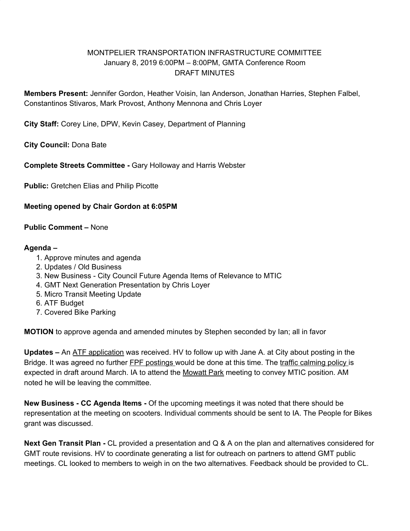## MONTPELIER TRANSPORTATION INFRASTRUCTURE COMMITTEE January 8, 2019 6:00PM – 8:00PM, GMTA Conference Room DRAFT MINUTES

**Members Present:** Jennifer Gordon, Heather Voisin, Ian Anderson, Jonathan Harries, Stephen Falbel, Constantinos Stivaros, Mark Provost, Anthony Mennona and Chris Loyer

**City Staff:** Corey Line, DPW, Kevin Casey, Department of Planning

**City Council:** Dona Bate

**Complete Streets Committee -** Gary Holloway and Harris Webster

**Public:** Gretchen Elias and Philip Picotte

## **Meeting opened by Chair Gordon at 6:05PM**

**Public Comment –** None

## **Agenda –**

- 1. Approve minutes and agenda
- 2. Updates / Old Business
- 3. New Business City Council Future Agenda Items of Relevance to MTIC
- 4. GMT Next Generation Presentation by Chris Loyer
- 5. Micro Transit Meeting Update
- 6. ATF Budget
- 7. Covered Bike Parking

**MOTION** to approve agenda and amended minutes by Stephen seconded by Ian; all in favor

**Updates –** An ATF application was received. HV to follow up with Jane A. at City about posting in the Bridge. It was agreed no further FPF postings would be done at this time. The traffic calming policy is expected in draft around March. IA to attend the Mowatt Park meeting to convey MTIC position. AM noted he will be leaving the committee.

**New Business - CC Agenda Items -** Of the upcoming meetings it was noted that there should be representation at the meeting on scooters. Individual comments should be sent to IA. The People for Bikes grant was discussed.

**Next Gen Transit Plan -** CL provided a presentation and Q & A on the plan and alternatives considered for GMT route revisions. HV to coordinate generating a list for outreach on partners to attend GMT public meetings. CL looked to members to weigh in on the two alternatives. Feedback should be provided to CL.